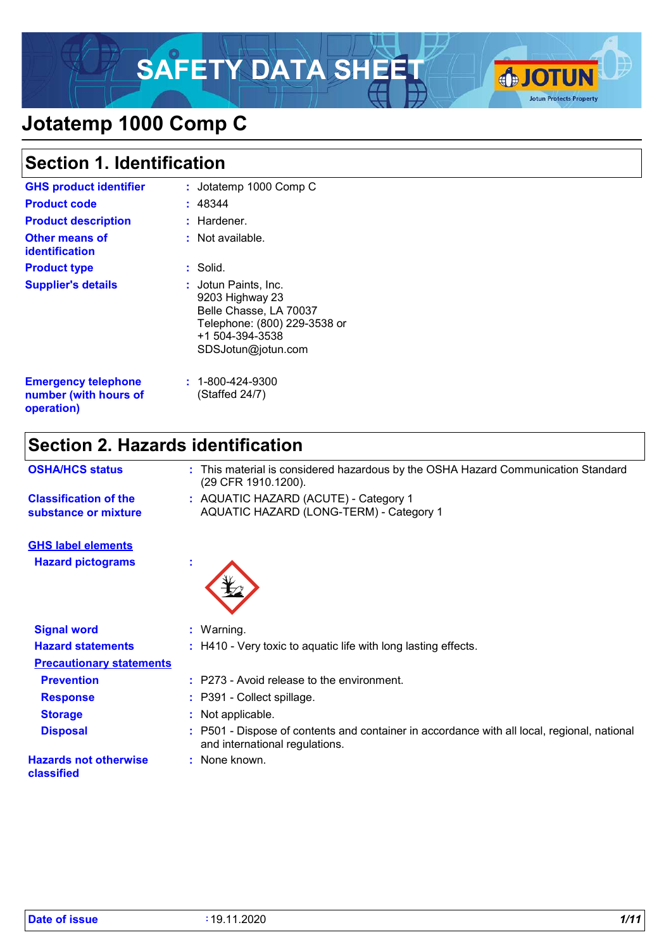# SAFETY DATA SHEET **& JOTUN**



# **Jotatemp 1000 Comp C**

### **Section 1. Identification**

| <b>GHS product identifier</b>                       | : Jotatemp 1000 Comp C                                                                                                                     |
|-----------------------------------------------------|--------------------------------------------------------------------------------------------------------------------------------------------|
| <b>Product code</b>                                 | : 48344                                                                                                                                    |
| <b>Product description</b>                          | : Hardener.                                                                                                                                |
| <b>Other means of</b><br><b>identification</b>      | $:$ Not available.                                                                                                                         |
| <b>Product type</b>                                 | $:$ Solid.                                                                                                                                 |
| <b>Supplier's details</b>                           | : Jotun Paints, Inc.<br>9203 Highway 23<br>Belle Chasse, LA 70037<br>Telephone: (800) 229-3538 or<br>+1 504-394-3538<br>SDSJotun@jotun.com |
| <b>Emergency telephone</b><br>number (with hours of | $: 1 - 800 - 424 - 9300$<br>Staffed 24/7)                                                                                                  |

# **Section 2. Hazards identification**

| This material is considered hazardous by the OSHA Hazard Communication Standard                                             |
|-----------------------------------------------------------------------------------------------------------------------------|
| (29 CFR 1910.1200).                                                                                                         |
| : AQUATIC HAZARD (ACUTE) - Category 1<br>AQUATIC HAZARD (LONG-TERM) - Category 1                                            |
|                                                                                                                             |
|                                                                                                                             |
| : Warning.                                                                                                                  |
| : H410 - Very toxic to aquatic life with long lasting effects.                                                              |
|                                                                                                                             |
| : P273 - Avoid release to the environment.                                                                                  |
| : P391 - Collect spillage.                                                                                                  |
| : Not applicable.                                                                                                           |
| P501 - Dispose of contents and container in accordance with all local, regional, national<br>and international regulations. |
| : None known.                                                                                                               |
| <b>Precautionary statements</b>                                                                                             |

**operation)**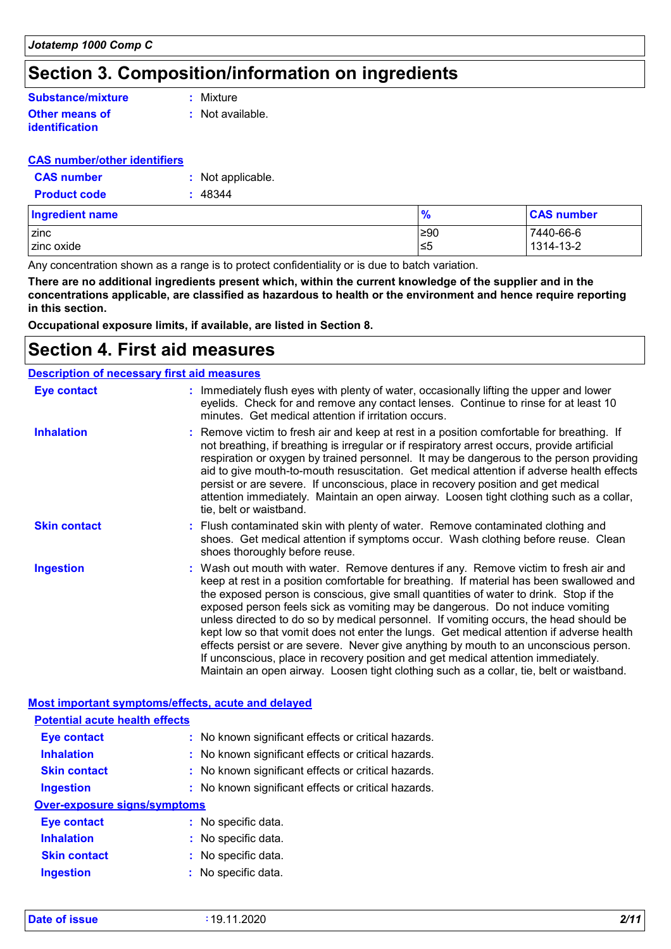## **Section 3. Composition/information on ingredients**

#### **Other means of identification Substance/mixture**

**:** Mixture

**:** Not available.

#### **CAS number/other identifiers**

| <b>CAS number</b>   | : Not applicable. |
|---------------------|-------------------|
| <b>Product code</b> | : 48344           |

| <b>Ingredient name</b> | $\frac{1}{2}$ | <b>CAS number</b> |
|------------------------|---------------|-------------------|
| <b>Izinc</b>           | ≥90           | 7440-66-6         |
| zinc oxide             | ≤5            | 1314-13-2         |

Any concentration shown as a range is to protect confidentiality or is due to batch variation.

**There are no additional ingredients present which, within the current knowledge of the supplier and in the concentrations applicable, are classified as hazardous to health or the environment and hence require reporting in this section.**

**Occupational exposure limits, if available, are listed in Section 8.**

### **Section 4. First aid measures**

| <b>Description of necessary first aid measures</b> |                                                                                                                                                                                                                                                                                                                                                                                                                                                                                                                                                                                                                                                                                                                                                                                                                           |
|----------------------------------------------------|---------------------------------------------------------------------------------------------------------------------------------------------------------------------------------------------------------------------------------------------------------------------------------------------------------------------------------------------------------------------------------------------------------------------------------------------------------------------------------------------------------------------------------------------------------------------------------------------------------------------------------------------------------------------------------------------------------------------------------------------------------------------------------------------------------------------------|
| <b>Eye contact</b>                                 | : Immediately flush eyes with plenty of water, occasionally lifting the upper and lower<br>eyelids. Check for and remove any contact lenses. Continue to rinse for at least 10<br>minutes. Get medical attention if irritation occurs.                                                                                                                                                                                                                                                                                                                                                                                                                                                                                                                                                                                    |
| <b>Inhalation</b>                                  | : Remove victim to fresh air and keep at rest in a position comfortable for breathing. If<br>not breathing, if breathing is irregular or if respiratory arrest occurs, provide artificial<br>respiration or oxygen by trained personnel. It may be dangerous to the person providing<br>aid to give mouth-to-mouth resuscitation. Get medical attention if adverse health effects<br>persist or are severe. If unconscious, place in recovery position and get medical<br>attention immediately. Maintain an open airway. Loosen tight clothing such as a collar,<br>tie, belt or waistband.                                                                                                                                                                                                                              |
| <b>Skin contact</b>                                | : Flush contaminated skin with plenty of water. Remove contaminated clothing and<br>shoes. Get medical attention if symptoms occur. Wash clothing before reuse. Clean<br>shoes thoroughly before reuse.                                                                                                                                                                                                                                                                                                                                                                                                                                                                                                                                                                                                                   |
| <b>Ingestion</b>                                   | : Wash out mouth with water. Remove dentures if any. Remove victim to fresh air and<br>keep at rest in a position comfortable for breathing. If material has been swallowed and<br>the exposed person is conscious, give small quantities of water to drink. Stop if the<br>exposed person feels sick as vomiting may be dangerous. Do not induce vomiting<br>unless directed to do so by medical personnel. If vomiting occurs, the head should be<br>kept low so that vomit does not enter the lungs. Get medical attention if adverse health<br>effects persist or are severe. Never give anything by mouth to an unconscious person.<br>If unconscious, place in recovery position and get medical attention immediately.<br>Maintain an open airway. Loosen tight clothing such as a collar, tie, belt or waistband. |

| Most important symptoms/effects, acute and delayed |                                                     |
|----------------------------------------------------|-----------------------------------------------------|
| <b>Potential acute health effects</b>              |                                                     |
| <b>Eye contact</b>                                 | : No known significant effects or critical hazards. |
| <b>Inhalation</b>                                  | : No known significant effects or critical hazards. |
| <b>Skin contact</b>                                | : No known significant effects or critical hazards. |
| <b>Ingestion</b>                                   | : No known significant effects or critical hazards. |
| <b>Over-exposure signs/symptoms</b>                |                                                     |
| Eye contact                                        | : No specific data.                                 |
| <b>Inhalation</b>                                  | : No specific data.                                 |
| <b>Skin contact</b>                                | : No specific data.                                 |
| <b>Ingestion</b>                                   | $:$ No specific data.                               |
|                                                    |                                                     |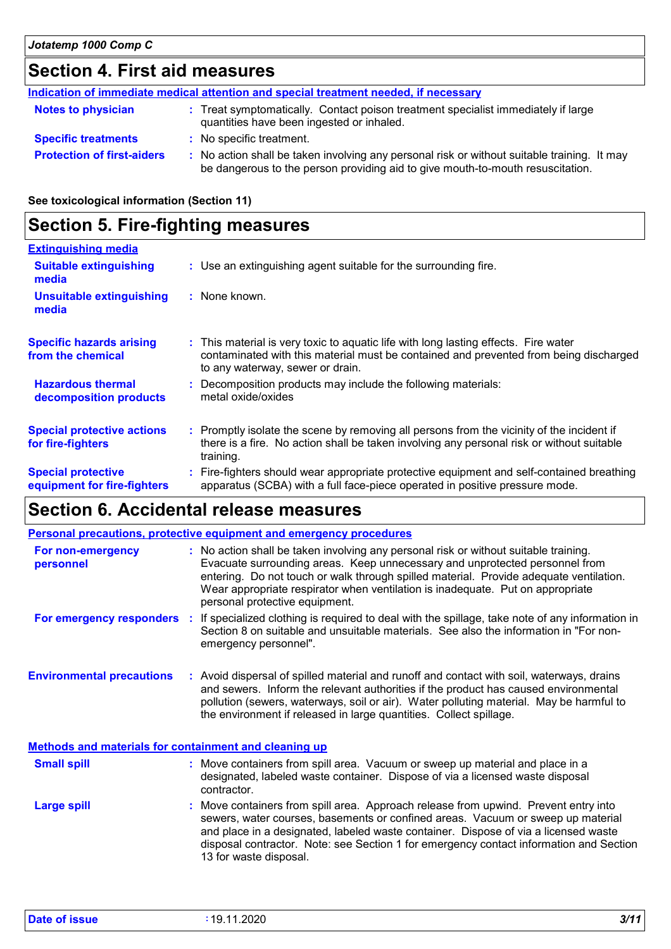# **Section 4. First aid measures**

| Indication of immediate medical attention and special treatment needed, if necessary |                                                                                                                                                                               |  |
|--------------------------------------------------------------------------------------|-------------------------------------------------------------------------------------------------------------------------------------------------------------------------------|--|
| <b>Notes to physician</b>                                                            | : Treat symptomatically. Contact poison treatment specialist immediately if large<br>quantities have been ingested or inhaled.                                                |  |
| <b>Specific treatments</b>                                                           | : No specific treatment.                                                                                                                                                      |  |
| <b>Protection of first-aiders</b>                                                    | : No action shall be taken involving any personal risk or without suitable training. It may<br>be dangerous to the person providing aid to give mouth-to-mouth resuscitation. |  |

#### **See toxicological information (Section 11)**

# **Section 5. Fire-fighting measures**

| <b>Extinguishing media</b>                               |                                                                                                                                                                                                                  |
|----------------------------------------------------------|------------------------------------------------------------------------------------------------------------------------------------------------------------------------------------------------------------------|
| <b>Suitable extinguishing</b><br>media                   | : Use an extinguishing agent suitable for the surrounding fire.                                                                                                                                                  |
| <b>Unsuitable extinguishing</b><br>media                 | : None known.                                                                                                                                                                                                    |
| <b>Specific hazards arising</b><br>from the chemical     | : This material is very toxic to aquatic life with long lasting effects. Fire water<br>contaminated with this material must be contained and prevented from being discharged<br>to any waterway, sewer or drain. |
| <b>Hazardous thermal</b><br>decomposition products       | : Decomposition products may include the following materials:<br>metal oxide/oxides                                                                                                                              |
| <b>Special protective actions</b><br>for fire-fighters   | : Promptly isolate the scene by removing all persons from the vicinity of the incident if<br>there is a fire. No action shall be taken involving any personal risk or without suitable<br>training.              |
| <b>Special protective</b><br>equipment for fire-fighters | : Fire-fighters should wear appropriate protective equipment and self-contained breathing<br>apparatus (SCBA) with a full face-piece operated in positive pressure mode.                                         |

# **Section 6. Accidental release measures**

|                                                              |    | <b>Personal precautions, protective equipment and emergency procedures</b>                                                                                                                                                                                                                                                                                                        |
|--------------------------------------------------------------|----|-----------------------------------------------------------------------------------------------------------------------------------------------------------------------------------------------------------------------------------------------------------------------------------------------------------------------------------------------------------------------------------|
| For non-emergency<br>personnel                               |    | : No action shall be taken involving any personal risk or without suitable training.<br>Evacuate surrounding areas. Keep unnecessary and unprotected personnel from<br>entering. Do not touch or walk through spilled material. Provide adequate ventilation.<br>Wear appropriate respirator when ventilation is inadequate. Put on appropriate<br>personal protective equipment. |
| For emergency responders                                     | ÷. | If specialized clothing is required to deal with the spillage, take note of any information in<br>Section 8 on suitable and unsuitable materials. See also the information in "For non-<br>emergency personnel".                                                                                                                                                                  |
| <b>Environmental precautions</b>                             |    | : Avoid dispersal of spilled material and runoff and contact with soil, waterways, drains<br>and sewers. Inform the relevant authorities if the product has caused environmental<br>pollution (sewers, waterways, soil or air). Water polluting material. May be harmful to<br>the environment if released in large quantities. Collect spillage.                                 |
| <b>Methods and materials for containment and cleaning up</b> |    |                                                                                                                                                                                                                                                                                                                                                                                   |
| <b>Small spill</b>                                           |    | : Move containers from spill area. Vacuum or sweep up material and place in a<br>designated, labeled waste container. Dispose of via a licensed waste disposal<br>contractor.                                                                                                                                                                                                     |
| <b>Large spill</b>                                           |    | : Move containers from spill area. Approach release from upwind. Prevent entry into<br>sewers, water courses, basements or confined areas. Vacuum or sweep up material<br>and place in a designated, labeled waste container. Dispose of via a licensed waste<br>disposal contractor. Note: see Section 1 for emergency contact information and Section                           |

13 for waste disposal.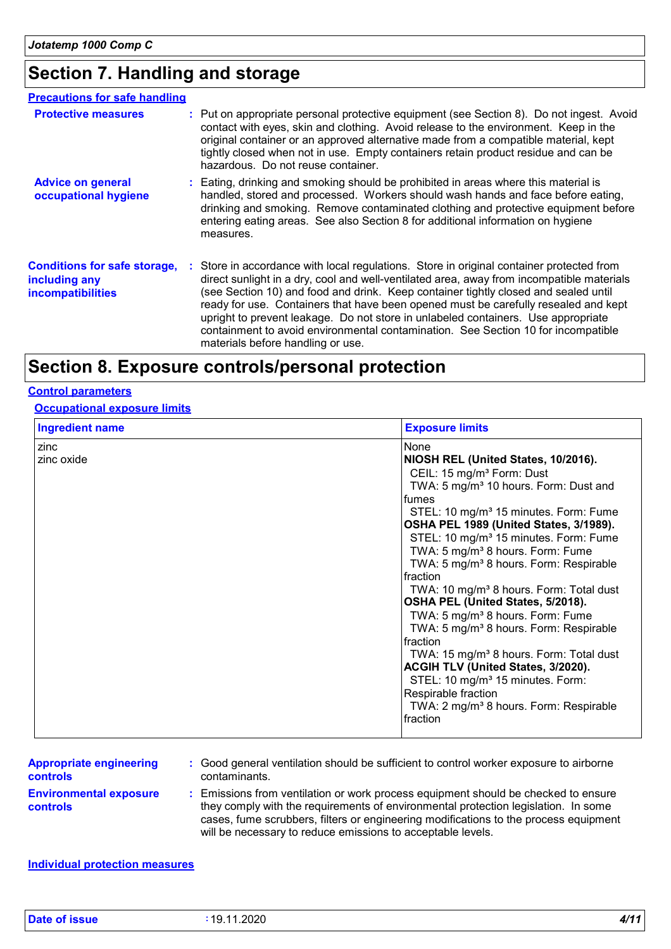# **Section 7. Handling and storage**

| <b>Precautions for safe handling</b>                                             |                                                                                                                                                                                                                                                                                                                                                                                                                                                                                                                                                                                    |
|----------------------------------------------------------------------------------|------------------------------------------------------------------------------------------------------------------------------------------------------------------------------------------------------------------------------------------------------------------------------------------------------------------------------------------------------------------------------------------------------------------------------------------------------------------------------------------------------------------------------------------------------------------------------------|
| <b>Protective measures</b>                                                       | : Put on appropriate personal protective equipment (see Section 8). Do not ingest. Avoid<br>contact with eyes, skin and clothing. Avoid release to the environment. Keep in the<br>original container or an approved alternative made from a compatible material, kept<br>tightly closed when not in use. Empty containers retain product residue and can be<br>hazardous. Do not reuse container.                                                                                                                                                                                 |
| <b>Advice on general</b><br>occupational hygiene                                 | : Eating, drinking and smoking should be prohibited in areas where this material is<br>handled, stored and processed. Workers should wash hands and face before eating,<br>drinking and smoking. Remove contaminated clothing and protective equipment before<br>entering eating areas. See also Section 8 for additional information on hygiene<br>measures.                                                                                                                                                                                                                      |
| <b>Conditions for safe storage,</b><br>including any<br><b>incompatibilities</b> | : Store in accordance with local regulations. Store in original container protected from<br>direct sunlight in a dry, cool and well-ventilated area, away from incompatible materials<br>(see Section 10) and food and drink. Keep container tightly closed and sealed until<br>ready for use. Containers that have been opened must be carefully resealed and kept<br>upright to prevent leakage. Do not store in unlabeled containers. Use appropriate<br>containment to avoid environmental contamination. See Section 10 for incompatible<br>materials before handling or use. |

# **Section 8. Exposure controls/personal protection**

#### **Control parameters**

#### **Occupational exposure limits**

| <b>Ingredient name</b> | <b>Exposure limits</b>                                                                   |
|------------------------|------------------------------------------------------------------------------------------|
| zinc                   | None                                                                                     |
| zinc oxide             | NIOSH REL (United States, 10/2016).                                                      |
|                        | CEIL: 15 mg/m <sup>3</sup> Form: Dust                                                    |
|                        | TWA: 5 mg/m <sup>3</sup> 10 hours. Form: Dust and                                        |
|                        | fumes                                                                                    |
|                        | STEL: 10 mg/m <sup>3</sup> 15 minutes. Form: Fume                                        |
|                        | OSHA PEL 1989 (United States, 3/1989).                                                   |
|                        | STEL: 10 mg/m <sup>3</sup> 15 minutes. Form: Fume                                        |
|                        | TWA: 5 mg/m <sup>3</sup> 8 hours. Form: Fume                                             |
|                        | TWA: 5 mg/m <sup>3</sup> 8 hours. Form: Respirable                                       |
|                        | fraction                                                                                 |
|                        | TWA: 10 mg/m <sup>3</sup> 8 hours. Form: Total dust<br>OSHA PEL (United States, 5/2018). |
|                        | TWA: 5 mg/m <sup>3</sup> 8 hours. Form: Fume                                             |
|                        | TWA: 5 mg/m <sup>3</sup> 8 hours. Form: Respirable                                       |
|                        | fraction                                                                                 |
|                        | TWA: 15 mg/m <sup>3</sup> 8 hours. Form: Total dust                                      |
|                        | ACGIH TLV (United States, 3/2020).                                                       |
|                        | STEL: 10 mg/m <sup>3</sup> 15 minutes. Form:                                             |
|                        | Respirable fraction                                                                      |
|                        | TWA: 2 mg/m <sup>3</sup> 8 hours. Form: Respirable                                       |
|                        | fraction                                                                                 |
|                        |                                                                                          |

| <b>Appropriate engineering</b>                   | : Good general ventilation should be sufficient to control worker exposure to airborne                                                                                                                                                                                                                                          |
|--------------------------------------------------|---------------------------------------------------------------------------------------------------------------------------------------------------------------------------------------------------------------------------------------------------------------------------------------------------------------------------------|
| <b>controls</b>                                  | contaminants.                                                                                                                                                                                                                                                                                                                   |
| <b>Environmental exposure</b><br><b>controls</b> | : Emissions from ventilation or work process equipment should be checked to ensure<br>they comply with the requirements of environmental protection legislation. In some<br>cases, fume scrubbers, filters or engineering modifications to the process equipment<br>will be necessary to reduce emissions to acceptable levels. |

#### **Individual protection measures**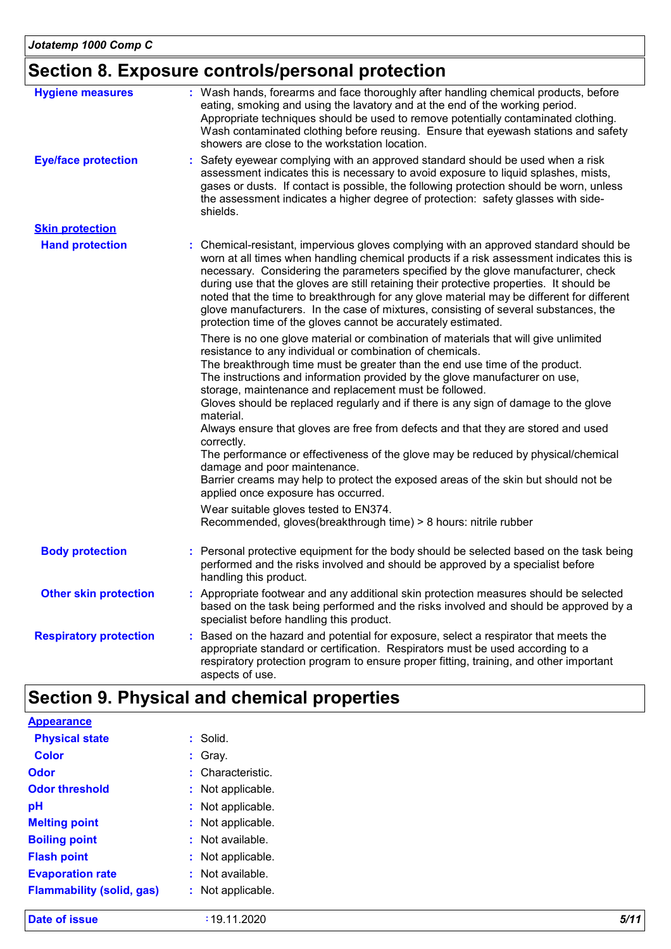# **Section 8. Exposure controls/personal protection**

| <b>Hygiene measures</b><br><b>Eye/face protection</b> | : Wash hands, forearms and face thoroughly after handling chemical products, before<br>eating, smoking and using the lavatory and at the end of the working period.<br>Appropriate techniques should be used to remove potentially contaminated clothing.<br>Wash contaminated clothing before reusing. Ensure that eyewash stations and safety<br>showers are close to the workstation location.<br>: Safety eyewear complying with an approved standard should be used when a risk                                                                                                                                                                                                                                                                                                                                                                                                                                                           |
|-------------------------------------------------------|------------------------------------------------------------------------------------------------------------------------------------------------------------------------------------------------------------------------------------------------------------------------------------------------------------------------------------------------------------------------------------------------------------------------------------------------------------------------------------------------------------------------------------------------------------------------------------------------------------------------------------------------------------------------------------------------------------------------------------------------------------------------------------------------------------------------------------------------------------------------------------------------------------------------------------------------|
|                                                       | assessment indicates this is necessary to avoid exposure to liquid splashes, mists,<br>gases or dusts. If contact is possible, the following protection should be worn, unless<br>the assessment indicates a higher degree of protection: safety glasses with side-<br>shields.                                                                                                                                                                                                                                                                                                                                                                                                                                                                                                                                                                                                                                                                |
| <b>Skin protection</b>                                |                                                                                                                                                                                                                                                                                                                                                                                                                                                                                                                                                                                                                                                                                                                                                                                                                                                                                                                                                |
| <b>Hand protection</b>                                | : Chemical-resistant, impervious gloves complying with an approved standard should be<br>worn at all times when handling chemical products if a risk assessment indicates this is<br>necessary. Considering the parameters specified by the glove manufacturer, check<br>during use that the gloves are still retaining their protective properties. It should be<br>noted that the time to breakthrough for any glove material may be different for different<br>glove manufacturers. In the case of mixtures, consisting of several substances, the<br>protection time of the gloves cannot be accurately estimated.                                                                                                                                                                                                                                                                                                                         |
|                                                       | There is no one glove material or combination of materials that will give unlimited<br>resistance to any individual or combination of chemicals.<br>The breakthrough time must be greater than the end use time of the product.<br>The instructions and information provided by the glove manufacturer on use,<br>storage, maintenance and replacement must be followed.<br>Gloves should be replaced regularly and if there is any sign of damage to the glove<br>material.<br>Always ensure that gloves are free from defects and that they are stored and used<br>correctly.<br>The performance or effectiveness of the glove may be reduced by physical/chemical<br>damage and poor maintenance.<br>Barrier creams may help to protect the exposed areas of the skin but should not be<br>applied once exposure has occurred.<br>Wear suitable gloves tested to EN374.<br>Recommended, gloves(breakthrough time) > 8 hours: nitrile rubber |
| <b>Body protection</b>                                | : Personal protective equipment for the body should be selected based on the task being<br>performed and the risks involved and should be approved by a specialist before<br>handling this product.                                                                                                                                                                                                                                                                                                                                                                                                                                                                                                                                                                                                                                                                                                                                            |
| <b>Other skin protection</b>                          | : Appropriate footwear and any additional skin protection measures should be selected<br>based on the task being performed and the risks involved and should be approved by a<br>specialist before handling this product.                                                                                                                                                                                                                                                                                                                                                                                                                                                                                                                                                                                                                                                                                                                      |
| <b>Respiratory protection</b>                         | : Based on the hazard and potential for exposure, select a respirator that meets the<br>appropriate standard or certification. Respirators must be used according to a<br>respiratory protection program to ensure proper fitting, training, and other important<br>aspects of use.                                                                                                                                                                                                                                                                                                                                                                                                                                                                                                                                                                                                                                                            |

# **Section 9. Physical and chemical properties**

| <b>Date of issue</b>             | :19.11.2020           | 5/11 |
|----------------------------------|-----------------------|------|
| <b>Flammability (solid, gas)</b> | Not applicable.<br>÷. |      |
| <b>Evaporation rate</b>          | : Not available.      |      |
| <b>Flash point</b>               | Not applicable.<br>÷. |      |
| <b>Boiling point</b>             | : Not available.      |      |
| <b>Melting point</b>             | : Not applicable.     |      |
| pH                               | Not applicable.<br>÷. |      |
| <b>Odor threshold</b>            | : Not applicable.     |      |
| <b>Odor</b>                      | : Characteristic.     |      |
| <b>Color</b>                     | : Gray.               |      |
| <b>Physical state</b>            | : Solid.              |      |
| <b>Appearance</b>                |                       |      |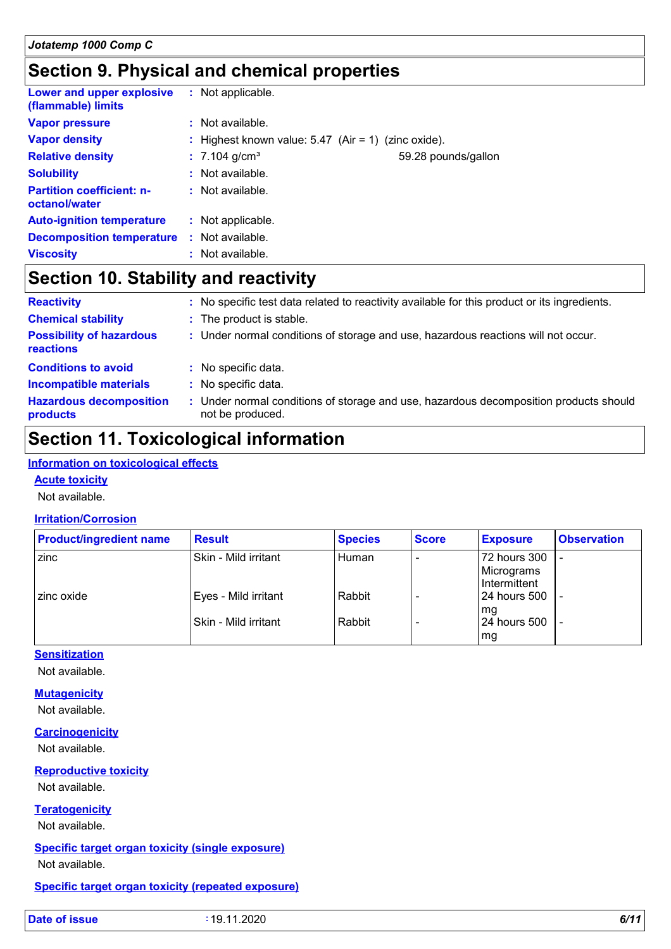## **Section 9. Physical and chemical properties**

| Lower and upper explosive<br>(flammable) limits   | : Not applicable.                                     |                     |
|---------------------------------------------------|-------------------------------------------------------|---------------------|
| <b>Vapor pressure</b>                             | $\therefore$ Not available.                           |                     |
| <b>Vapor density</b>                              | : Highest known value: $5.47$ (Air = 1) (zinc oxide). |                     |
| <b>Relative density</b>                           | $: 7.104$ g/cm <sup>3</sup>                           | 59.28 pounds/gallon |
| <b>Solubility</b>                                 | : Not available.                                      |                     |
| <b>Partition coefficient: n-</b><br>octanol/water | $\therefore$ Not available.                           |                     |
| <b>Auto-ignition temperature</b>                  | : Not applicable.                                     |                     |
| <b>Decomposition temperature</b>                  | : Not available.                                      |                     |
| <b>Viscosity</b>                                  | : Not available.                                      |                     |

### **Section 10. Stability and reactivity**

| <b>Reactivity</b>                            |    | No specific test data related to reactivity available for this product or its ingredients.                |
|----------------------------------------------|----|-----------------------------------------------------------------------------------------------------------|
| <b>Chemical stability</b>                    |    | : The product is stable.                                                                                  |
| <b>Possibility of hazardous</b><br>reactions |    | : Under normal conditions of storage and use, hazardous reactions will not occur.                         |
| <b>Conditions to avoid</b>                   |    | : No specific data.                                                                                       |
| <b>Incompatible materials</b>                | ÷. | No specific data.                                                                                         |
| <b>Hazardous decomposition</b><br>products   |    | : Under normal conditions of storage and use, hazardous decomposition products should<br>not be produced. |

### **Section 11. Toxicological information**

#### **Information on toxicological effects**

#### **Acute toxicity**

Not available.

#### **Irritation/Corrosion**

| <b>Product/ingredient name</b> | <b>Result</b>          | <b>Species</b> | <b>Score</b> | <b>Exposure</b> | <b>Observation</b> |
|--------------------------------|------------------------|----------------|--------------|-----------------|--------------------|
| zinc                           | l Skin - Mild irritant | Human          |              | 72 hours 300    |                    |
|                                |                        |                |              | Micrograms      |                    |
|                                |                        |                |              | I Intermittent  |                    |
| zinc oxide                     | Eyes - Mild irritant   | Rabbit         |              | l 24 hours 500  |                    |
|                                |                        |                |              | l ma            |                    |
|                                | ISkin - Mild irritant  | Rabbit         |              | 24 hours 500    |                    |
|                                |                        |                |              | mg              |                    |

#### **Sensitization**

Not available.

#### **Mutagenicity**

Not available.

#### **Carcinogenicity**

Not available.

#### **Reproductive toxicity** Not available.

**Teratogenicity**

#### Not available.

### **Specific target organ toxicity (single exposure)**

Not available.

#### **Specific target organ toxicity (repeated exposure)**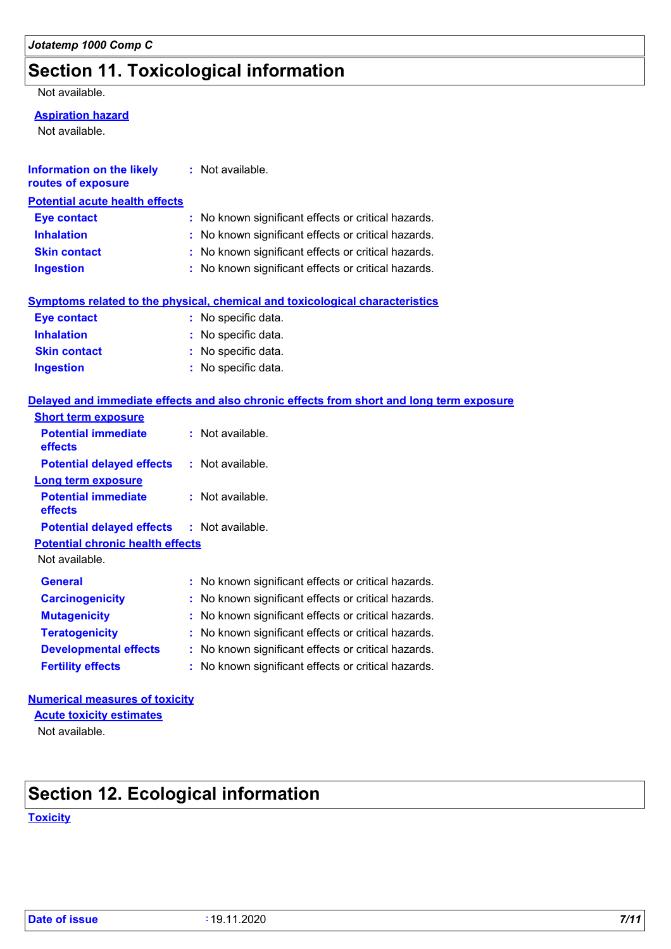## **Section 11. Toxicological information**

#### Not available.

#### **Aspiration hazard**

Not available.

| <b>Information on the likely</b><br>routes of exposure | : Not available.                                    |
|--------------------------------------------------------|-----------------------------------------------------|
| <b>Potential acute health effects</b>                  |                                                     |
| <b>Eye contact</b>                                     | : No known significant effects or critical hazards. |
| <b>Inhalation</b>                                      | : No known significant effects or critical hazards. |
| <b>Skin contact</b>                                    | : No known significant effects or critical hazards. |
| <b>Ingestion</b>                                       | : No known significant effects or critical hazards. |

#### **Symptoms related to the physical, chemical and toxicological characteristics**

| <b>Eye contact</b>  | : No specific data. |
|---------------------|---------------------|
| <b>Inhalation</b>   | : No specific data. |
| <b>Skin contact</b> | : No specific data. |
| <b>Ingestion</b>    | : No specific data. |

#### **Delayed and immediate effects and also chronic effects from short and long term exposure**

| <b>Short term exposure</b>                        |                                                     |
|---------------------------------------------------|-----------------------------------------------------|
| <b>Potential immediate</b><br>effects             | : Not available.                                    |
| <b>Potential delayed effects</b>                  | : Not available.                                    |
| <b>Long term exposure</b>                         |                                                     |
| <b>Potential immediate</b><br>effects             | : Not available.                                    |
| <b>Potential delayed effects : Not available.</b> |                                                     |
| <b>Potential chronic health effects</b>           |                                                     |
| Not available.                                    |                                                     |
| <b>General</b>                                    | : No known significant effects or critical hazards. |
| <b>Carcinogenicity</b>                            | : No known significant effects or critical hazards. |
| <b>Mutagenicity</b>                               | : No known significant effects or critical hazards. |
| <b>Teratogenicity</b>                             | : No known significant effects or critical hazards. |
| <b>Developmental effects</b>                      | : No known significant effects or critical hazards. |
| <b>Fertility effects</b>                          | : No known significant effects or critical hazards. |

### **Numerical measures of toxicity**

Not available. **Acute toxicity estimates**

# **Section 12. Ecological information**

**Toxicity**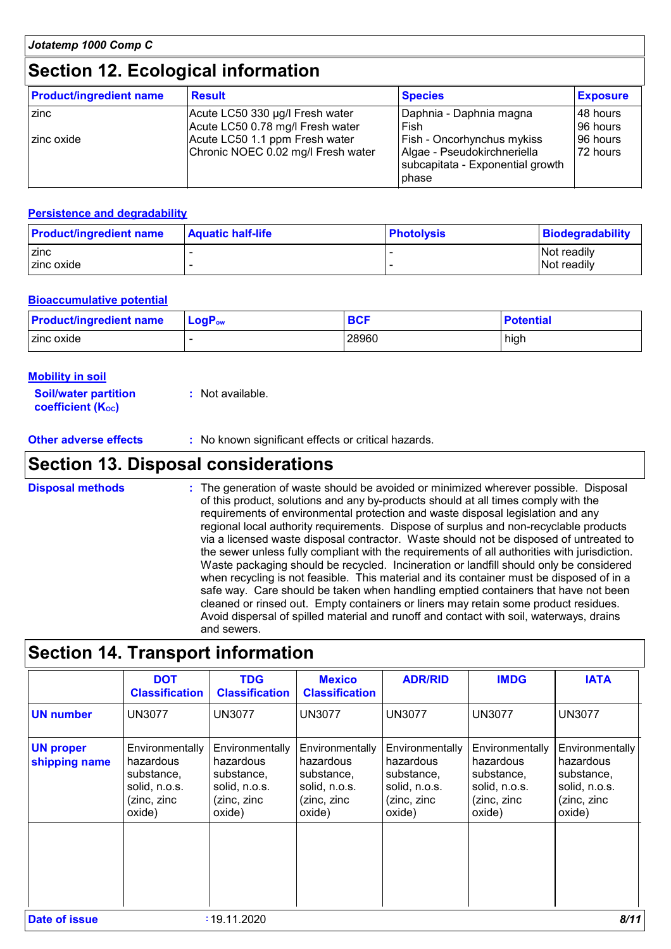### **Section 12. Ecological information**

| <b>Product/ingredient name</b> | <b>Result</b>                                                        | <b>Species</b>                                                                                                       | <b>Exposure</b>      |
|--------------------------------|----------------------------------------------------------------------|----------------------------------------------------------------------------------------------------------------------|----------------------|
| zinc                           | Acute LC50 330 µg/l Fresh water<br>Acute LC50 0.78 mg/l Fresh water  | Daphnia - Daphnia magna<br>Fish                                                                                      | 48 hours<br>96 hours |
| zinc oxide                     | Acute LC50 1.1 ppm Fresh water<br>Chronic NOEC 0.02 mg/l Fresh water | <b>Fish - Oncorhynchus mykiss</b><br>Algae - Pseudokirchneriella<br>subcapitata - Exponential growth<br><b>bhase</b> | 96 hours<br>72 hours |

#### **Persistence and degradability**

| <b>Product/ingredient name</b> | <b>Aquatic half-life</b> | <b>Photolysis</b> | Biodegradability |
|--------------------------------|--------------------------|-------------------|------------------|
| <b>zinc</b>                    |                          |                   | Not readily      |
| I zinc oxide                   |                          |                   | Not readily      |

#### **Bioaccumulative potential**

| <b>Product/ingredient name</b> | $LogP_{ow}$ | <b>BCF</b> | <b>Potential</b> |
|--------------------------------|-------------|------------|------------------|
| zinc oxide                     |             | 28960      | high             |

#### **Mobility in soil**

| <b>Soil/water partition</b> | : Not available. |
|-----------------------------|------------------|
| <b>coefficient (Koc)</b>    |                  |

**Other adverse effects** : No known significant effects or critical hazards.

### **Section 13. Disposal considerations**

The generation of waste should be avoided or minimized wherever possible. Disposal of this product, solutions and any by-products should at all times comply with the requirements of environmental protection and waste disposal legislation and any regional local authority requirements. Dispose of surplus and non-recyclable products via a licensed waste disposal contractor. Waste should not be disposed of untreated to the sewer unless fully compliant with the requirements of all authorities with jurisdiction. Waste packaging should be recycled. Incineration or landfill should only be considered when recycling is not feasible. This material and its container must be disposed of in a safe way. Care should be taken when handling emptied containers that have not been cleaned or rinsed out. Empty containers or liners may retain some product residues. Avoid dispersal of spilled material and runoff and contact with soil, waterways, drains and sewers. **Disposal methods :**

### **Section 14. Transport information**

|                                   | <b>DOT</b><br><b>Classification</b>                                                  | <b>TDG</b><br><b>Classification</b>                                                  | <b>Mexico</b><br><b>Classification</b>                                               | <b>ADR/RID</b>                                                                       | <b>IMDG</b>                                                                          | <b>IATA</b>                                                                          |
|-----------------------------------|--------------------------------------------------------------------------------------|--------------------------------------------------------------------------------------|--------------------------------------------------------------------------------------|--------------------------------------------------------------------------------------|--------------------------------------------------------------------------------------|--------------------------------------------------------------------------------------|
| <b>UN number</b>                  | <b>UN3077</b>                                                                        | <b>UN3077</b>                                                                        | <b>UN3077</b>                                                                        | <b>UN3077</b>                                                                        | <b>UN3077</b>                                                                        | <b>UN3077</b>                                                                        |
| <b>UN proper</b><br>shipping name | Environmentally<br>hazardous<br>substance,<br>solid, n.o.s.<br>(zinc, zinc<br>oxide) | Environmentally<br>hazardous<br>substance,<br>solid, n.o.s.<br>(zinc, zinc<br>oxide) | Environmentally<br>hazardous<br>substance,<br>solid, n.o.s.<br>(zinc, zinc<br>oxide) | Environmentally<br>hazardous<br>substance,<br>solid, n.o.s.<br>(zinc, zinc<br>oxide) | Environmentally<br>hazardous<br>substance,<br>solid, n.o.s.<br>(zinc, zinc<br>oxide) | Environmentally<br>hazardous<br>substance,<br>solid, n.o.s.<br>(zinc, zinc<br>oxide) |
| Date of issue                     |                                                                                      | :19.11.2020                                                                          |                                                                                      |                                                                                      |                                                                                      | 8/11                                                                                 |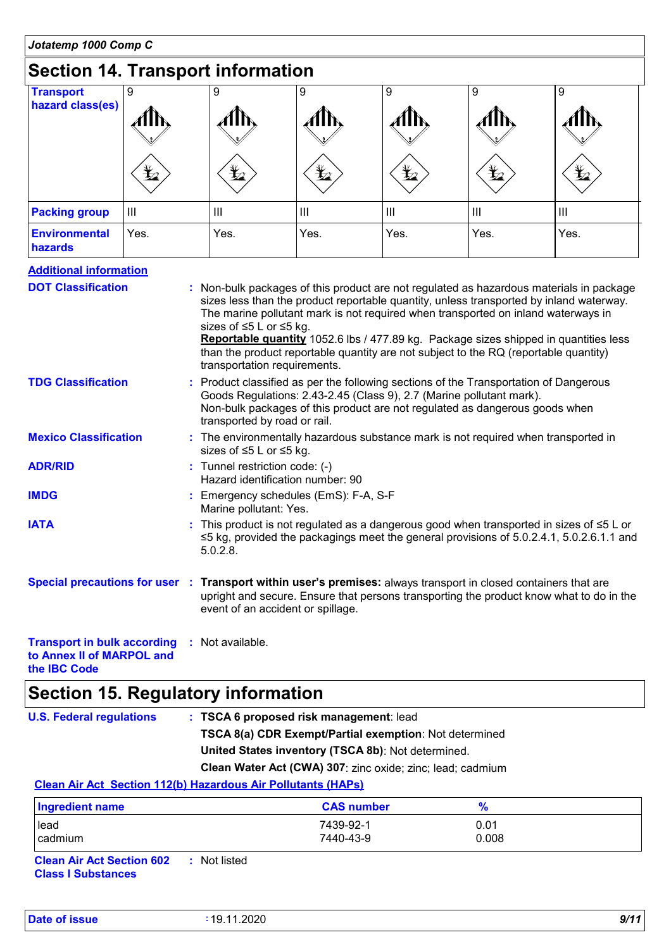# **Section 14. Transport information**

| <b>Transport</b>                | 9              | 9              | 9          | 9              | 9              | 9             |  |
|---------------------------------|----------------|----------------|------------|----------------|----------------|---------------|--|
| hazard class(es)                |                | 11 N           |            |                |                | $\mathcal{A}$ |  |
|                                 | $\bigstar$     | $\bigstar$     | $\bigstar$ | $\bigstar$     | $\bigstar$     | $\bigstar$    |  |
| <b>Packing group</b>            | $\mathbf{III}$ | $\mathbf{III}$ | Ш          | $\mathbf{III}$ | $\mathbf{III}$ | Ш             |  |
| <b>Environmental</b><br>hazards | Yes.           | Yes.           | Yes.       | Yes.           | Yes.           | Yes.          |  |

#### **Additional information**

| <b>DOT Classification</b>                                                        | : Non-bulk packages of this product are not regulated as hazardous materials in package<br>sizes less than the product reportable quantity, unless transported by inland waterway.<br>The marine pollutant mark is not required when transported on inland waterways in<br>sizes of ≤5 L or ≤5 kg.<br>Reportable quantity 1052.6 lbs / 477.89 kg. Package sizes shipped in quantities less<br>than the product reportable quantity are not subject to the RQ (reportable quantity)<br>transportation requirements. |
|----------------------------------------------------------------------------------|--------------------------------------------------------------------------------------------------------------------------------------------------------------------------------------------------------------------------------------------------------------------------------------------------------------------------------------------------------------------------------------------------------------------------------------------------------------------------------------------------------------------|
| <b>TDG Classification</b>                                                        | : Product classified as per the following sections of the Transportation of Dangerous<br>Goods Regulations: 2.43-2.45 (Class 9), 2.7 (Marine pollutant mark).<br>Non-bulk packages of this product are not regulated as dangerous goods when<br>transported by road or rail.                                                                                                                                                                                                                                       |
| <b>Mexico Classification</b>                                                     | : The environmentally hazardous substance mark is not required when transported in<br>sizes of ≤5 L or ≤5 kg.                                                                                                                                                                                                                                                                                                                                                                                                      |
| <b>ADR/RID</b>                                                                   | : Tunnel restriction code: (-)<br>Hazard identification number: 90                                                                                                                                                                                                                                                                                                                                                                                                                                                 |
| <b>IMDG</b>                                                                      | : Emergency schedules (EmS): F-A, S-F<br>Marine pollutant: Yes.                                                                                                                                                                                                                                                                                                                                                                                                                                                    |
| <b>IATA</b>                                                                      | : This product is not regulated as a dangerous good when transported in sizes of $\leq 5$ L or<br>$\leq$ 5 kg, provided the packagings meet the general provisions of 5.0.2.4.1, 5.0.2.6.1.1 and<br>$5.0.2.8$ .                                                                                                                                                                                                                                                                                                    |
|                                                                                  | Special precautions for user : Transport within user's premises: always transport in closed containers that are<br>upright and secure. Ensure that persons transporting the product know what to do in the<br>event of an accident or spillage.                                                                                                                                                                                                                                                                    |
| <b>Transport in bulk according : Not available.</b><br>to Annex II of MARPOL and |                                                                                                                                                                                                                                                                                                                                                                                                                                                                                                                    |

**the IBC Code**

# **Section 15. Regulatory information**

| : TSCA 6 proposed risk management: lead                           |
|-------------------------------------------------------------------|
| <b>TSCA 8(a) CDR Exempt/Partial exemption:</b> Not determined     |
| United States inventory (TSCA 8b): Not determined.                |
| <b>Clean Water Act (CWA) 307:</b> zinc oxide; zinc; lead; cadmium |
|                                                                   |

#### **Clean Air Act Section 112(b) Hazardous Air Pollutants (HAPs)**

| Ingredient name                                | <b>CAS number</b>      |               |  |
|------------------------------------------------|------------------------|---------------|--|
| lead<br>cadmium                                | 7439-92-1<br>7440-43-9 | 0.01<br>0.008 |  |
| <b>Clean Air Act Section 602</b><br>Not listed |                        |               |  |

**Clean Air Act Section 602 Class I Substances**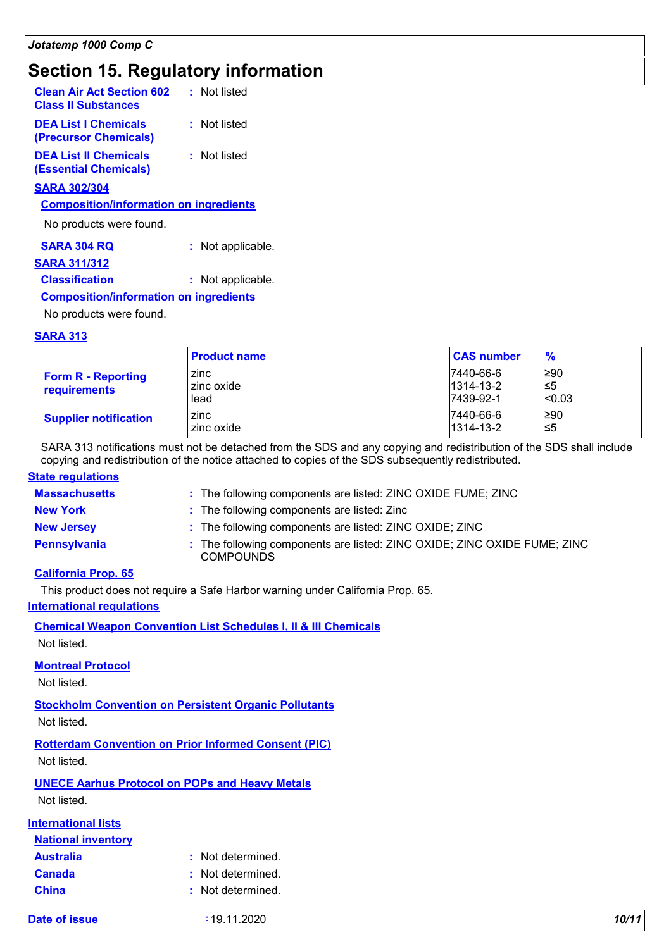### **Section 15. Regulatory information**

| <b>Clean Air Act Section 602</b><br><b>Class II Substances</b> | : Not listed |  |
|----------------------------------------------------------------|--------------|--|
| <b>DEA List I Chemicals</b><br>(Precursor Chemicals)           | : Not listed |  |
| <b>DEA List II Chemicals</b><br>(Essential Chemicals)          | : Not listed |  |
| GADA SASISAL                                                   |              |  |

#### **SARA 302/304**

#### **Composition/information on ingredients**

No products were found.

| <b>SARA 304 RQ</b> | : Not applicable. |
|--------------------|-------------------|
|--------------------|-------------------|

#### **SARA 311/312**

#### **Classification :** : Not applicable.

#### **Composition/information on ingredients**

No products were found.

#### **SARA 313**

|                                           | <b>Product name</b>        | <b>CAS number</b>                         | $\frac{9}{6}$         |
|-------------------------------------------|----------------------------|-------------------------------------------|-----------------------|
| <b>Form R - Reporting</b><br>requirements | zinc<br>zinc oxide<br>lead | 7440-66-6<br>$1314 - 13 - 2$<br>7439-92-1 | ≥90<br>l≤5<br> < 0.03 |
| <b>Supplier notification</b>              | zinc<br>zinc oxide         | 7440-66-6<br>1314-13-2                    | ≥90<br>פ≥ا            |

SARA 313 notifications must not be detached from the SDS and any copying and redistribution of the SDS shall include copying and redistribution of the notice attached to copies of the SDS subsequently redistributed.

#### **State regulations**

| <b>Massachusetts</b> | : The following components are listed: ZINC OXIDE FUME; ZINC                                 |
|----------------------|----------------------------------------------------------------------------------------------|
| <b>New York</b>      | : The following components are listed: Zinc                                                  |
| <b>New Jersey</b>    | : The following components are listed: ZINC OXIDE; ZINC                                      |
| Pennsylvania         | : The following components are listed: ZINC OXIDE; ZINC OXIDE FUME; ZINC<br><b>COMPOUNDS</b> |

#### **California Prop. 65**

This product does not require a Safe Harbor warning under California Prop. 65.

#### **International regulations**

**Chemical Weapon Convention List Schedules I, II & III Chemicals**

Not listed.

#### **Montreal Protocol**

Not listed.

**Stockholm Convention on Persistent Organic Pollutants** Not listed.

**Rotterdam Convention on Prior Informed Consent (PIC)** Not listed.

**UNECE Aarhus Protocol on POPs and Heavy Metals** Not listed.

#### **International lists**

| <b>National inventory</b> |                   |
|---------------------------|-------------------|
| <b>Australia</b>          | : Not determined. |
| <b>Canada</b>             | : Not determined. |
| <b>China</b>              | : Not determined. |

**Date of issue :** 19.11.2020 *10/11*